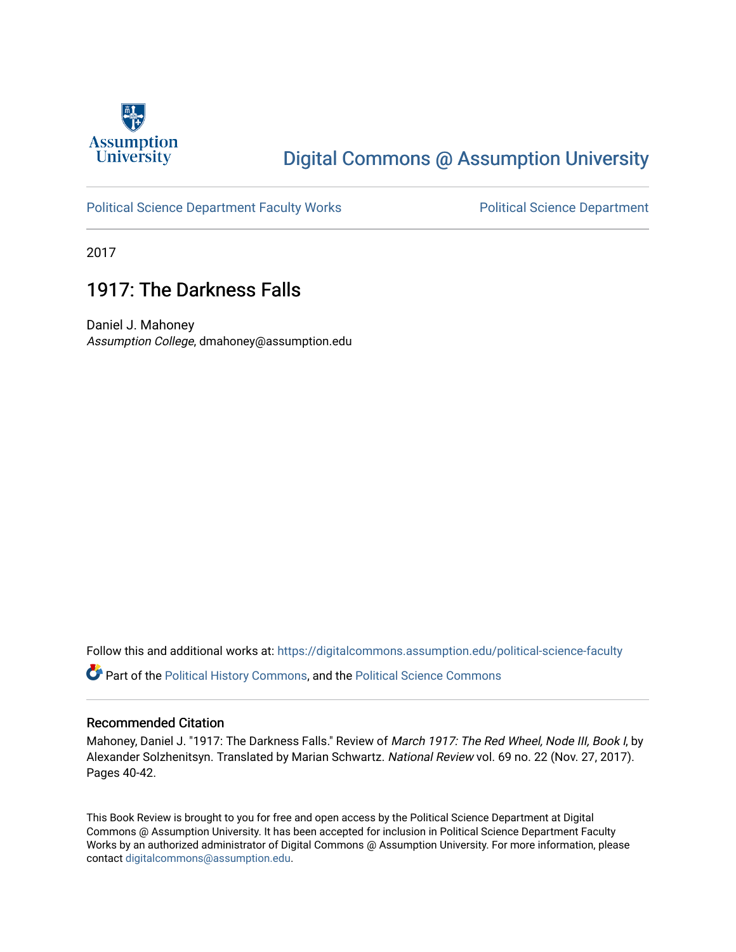

### [Digital Commons @ Assumption University](https://digitalcommons.assumption.edu/)

### [Political Science Department Faculty Works](https://digitalcommons.assumption.edu/political-science-faculty) **Political Science Department**

2017

### 1917: The Darkness Falls

Daniel J. Mahoney Assumption College, dmahoney@assumption.edu

Follow this and additional works at: [https://digitalcommons.assumption.edu/political-science-faculty](https://digitalcommons.assumption.edu/political-science-faculty?utm_source=digitalcommons.assumption.edu%2Fpolitical-science-faculty%2F1&utm_medium=PDF&utm_campaign=PDFCoverPages)

Part of the [Political History Commons,](http://network.bepress.com/hgg/discipline/505?utm_source=digitalcommons.assumption.edu%2Fpolitical-science-faculty%2F1&utm_medium=PDF&utm_campaign=PDFCoverPages) and the [Political Science Commons](http://network.bepress.com/hgg/discipline/386?utm_source=digitalcommons.assumption.edu%2Fpolitical-science-faculty%2F1&utm_medium=PDF&utm_campaign=PDFCoverPages)

### Recommended Citation

Mahoney, Daniel J. "1917: The Darkness Falls." Review of March 1917: The Red Wheel, Node III, Book I, by Alexander Solzhenitsyn. Translated by Marian Schwartz. National Review vol. 69 no. 22 (Nov. 27, 2017). Pages 40-42.

This Book Review is brought to you for free and open access by the Political Science Department at Digital Commons @ Assumption University. It has been accepted for inclusion in Political Science Department Faculty Works by an authorized administrator of Digital Commons @ Assumption University. For more information, please contact [digitalcommons@assumption.edu.](mailto:digitalcommons@assumption.edu)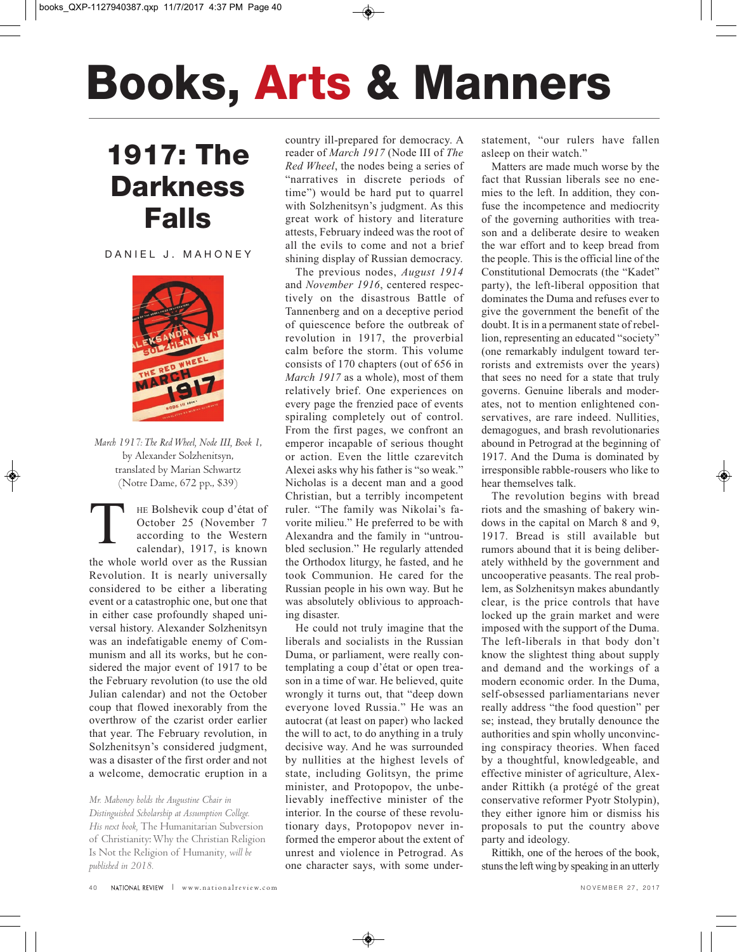# **Books, Arts & Manners**

# **1917: The Darkness Falls**

DANIEL J. MAHONEY



*March 1917: The Red Wheel, Node III, Book 1*, by Alexander Solzhenitsyn, translated by Marian Schwartz (Notre Dame, 672 pp., \$39)

HE Bolshevik coup d'état of October 25 (November 7 according to the Western calendar), 1917, is known the whole world over as the Russian Revolution. It is nearly universally considered to be either a liberating event or a catastrophic one, but one that in either case profoundly shaped universal history. Alexander Solzhenitsyn was an indefatigable enemy of Communism and all its works, but he considered the major event of 1917 to be the February revolution (to use the old Julian calendar) and not the October coup that flowed inexorably from the overthrow of the czarist order earlier that year. The February revolution, in Solzhenitsyn's considered judgment, was a disaster of the first order and not a welcome, democratic eruption in a

*Mr. Mahoney holds the Augustine Chair in Distinguished Scholarship at Assumption College. His next book,* The Humanitarian Subversion of Christianity: Why the Christian Religion Is Not the Religion of Humanity*, will be published in 2018.*

country ill-prepared for democracy. A reader of *March 1917* (Node III of *The Red Wheel*, the nodes being a series of "narratives in discrete periods of time") would be hard put to quarrel with Solzhenitsyn's judgment. As this great work of history and literature attests, February indeed was the root of all the evils to come and not a brief shining display of Russian democracy.

The previous nodes, *August 1914* and *November 1916*, centered respectively on the disastrous Battle of Tannenberg and on a deceptive period of quiescence before the outbreak of revolution in 1917, the proverbial calm before the storm. This volume consists of 170 chapters (out of 656 in *March 1917* as a whole), most of them relatively brief. One experiences on every page the frenzied pace of events spiraling completely out of control. From the first pages, we confront an emperor incapable of serious thought or action. Even the little czarevitch Alexei asks why his father is "so weak." Nicholas is a decent man and a good Christian, but a terribly incompetent ruler. "The family was Nikolai's favorite milieu." He preferred to be with Alexandra and the family in "untroubled seclusion." He regularly attended the Orthodox liturgy, he fasted, and he took Communion. He cared for the Russian people in his own way. But he was absolutely oblivious to approaching disaster.

He could not truly imagine that the liberals and socialists in the Russian Duma, or parliament, were really contemplating a coup d'état or open treason in a time of war. He believed, quite wrongly it turns out, that "deep down everyone loved Russia." He was an autocrat (at least on paper) who lacked the will to act, to do anything in a truly decisive way. And he was surrounded by nullities at the highest levels of state, including Golitsyn, the prime minister, and Protopopov, the unbelievably ineffective minister of the interior. In the course of these revolutionary days, Protopopov never informed the emperor about the extent of unrest and violence in Petrograd. As one character says, with some understatement, "our rulers have fallen asleep on their watch."

Matters are made much worse by the fact that Russian liberals see no enemies to the left. In addition, they confuse the incompetence and mediocrity of the governing authorities with treason and a deliberate desire to weaken the war effort and to keep bread from the people. This is the official line of the Constitutional Democrats (the "Kadet" party), the left-liberal opposition that dominates the Duma and refuses ever to give the government the benefit of the doubt. It is in a permanent state of rebellion, representing an educated "society" (one remarkably indulgent toward terrorists and extremists over the years) that sees no need for a state that truly governs. Genuine liberals and moderates, not to mention enlightened conservatives, are rare indeed. Nullities, demagogues, and brash revolutionaries abound in Petrograd at the beginning of 1917. And the Duma is dominated by irresponsible rabble-rousers who like to hear themselves talk.

The revolution begins with bread riots and the smashing of bakery windows in the capital on March 8 and 9, 1917. Bread is still available but rumors abound that it is being deliberately withheld by the government and uncooperative peasants. The real problem, as Solzhenitsyn makes abundantly clear, is the price controls that have locked up the grain market and were imposed with the support of the Duma. The left-liberals in that body don't know the slightest thing about supply and demand and the workings of a modern economic order. In the Duma, self-obsessed parliamentarians never really address "the food question" per se; instead, they brutally denounce the authorities and spin wholly unconvincing conspiracy theories. When faced by a thoughtful, knowledgeable, and effective minister of agriculture, Alexander Rittikh (a protégé of the great conservative reformer Pyotr Stolypin), they either ignore him or dismiss his proposals to put the country above party and ideology.

Rittikh, one of the heroes of the book, stuns the left wing by speaking in an utterly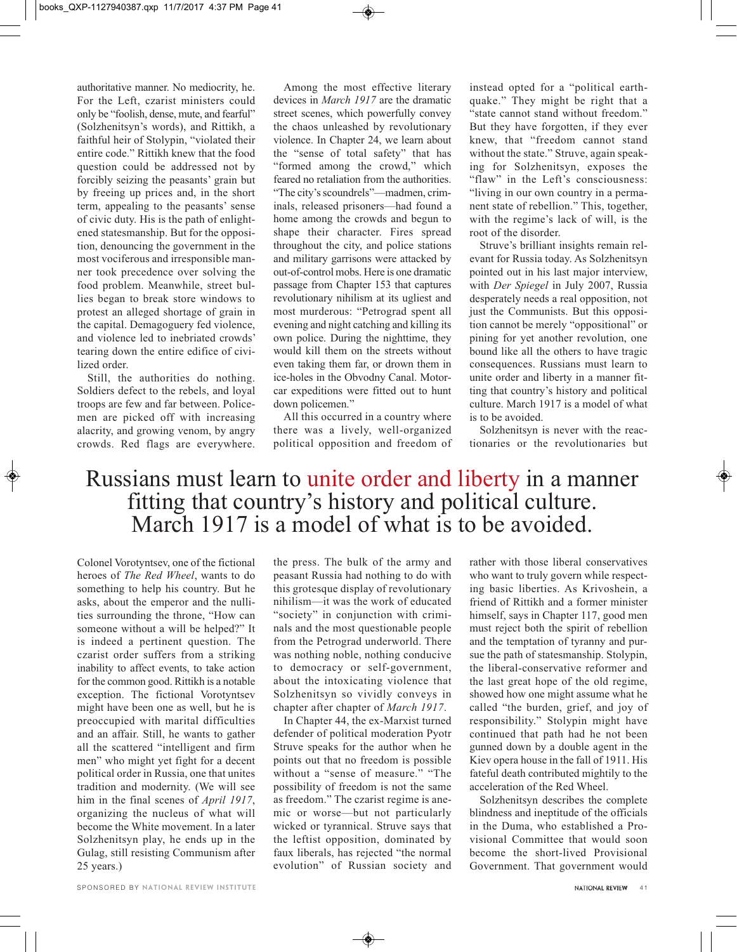authoritative manner. No mediocrity, he. For the Left, czarist ministers could only be "foolish, dense, mute, and fearful" (Solzhenitsyn's words), and Rittikh, a faithful heir of Stolypin, "violated their entire code." Rittikh knew that the food question could be addressed not by forcibly seizing the peasants' grain but by freeing up prices and, in the short term, appealing to the peasants' sense of civic duty. His is the path of enlightened statesmanship. But for the opposition, denouncing the government in the most vociferous and irresponsible manner took precedence over solving the food problem. Meanwhile, street bullies began to break store windows to protest an alleged shortage of grain in the capital. Demagoguery fed violence, and violence led to inebriated crowds' tearing down the entire edifice of civilized order.

Still, the authorities do nothing. Soldiers defect to the rebels, and loyal troops are few and far between. Police men are picked off with increasing alacrity, and growing venom, by angry crowds. Red flags are everywhere.

Among the most effective literary devices in *March 1917* are the dramatic street scenes, which powerfully convey the chaos unleashed by revolutionary violence. In Chapter 24, we learn about the "sense of total safety" that has "formed among the crowd," which feared no retaliation from the authorities. "The city's scoundrels"—madmen, criminals, released prisoners—had found a home among the crowds and begun to shape their character. Fires spread throughout the city, and police stations and military garrisons were attacked by out-of-control mobs. Here is one dramatic passage from Chapter 153 that captures revolutionary nihilism at its ugliest and most murderous: "Petrograd spent all evening and night catching and killing its own police. During the nighttime, they would kill them on the streets without even taking them far, or drown them in ice-holes in the Obvodny Canal. Motorcar expeditions were fitted out to hunt down policemen."

All this occurred in a country where there was a lively, well-organized political opposition and freedom of

instead opted for a "political earthquake." They might be right that a "state cannot stand without freedom." But they have forgotten, if they ever knew, that "freedom cannot stand without the state." Struve, again speaking for Solzhenitsyn, exposes the "flaw" in the Left's consciousness: "living in our own country in a permanent state of rebellion." This, together, with the regime's lack of will, is the root of the disorder.

Struve's brilliant insights remain relevant for Russia today. As Solzhenitsyn pointed out in his last major interview, with *Der Spiegel* in July 2007, Russia desperately needs a real opposition, not just the Communists. But this opposition cannot be merely "oppositional" or pining for yet another revolution, one bound like all the others to have tragic consequences. Russians must learn to unite order and liberty in a manner fitting that country's history and political culture. March 1917 is a model of what is to be avoided.

Solzhenitsyn is never with the reactionaries or the revolutionaries but

## Russians must learn to unite order and liberty in a manner fitting that country's history and political culture. March 1917 is a model of what is to be avoided.

Colonel Vorotyntsev, one of the fictional heroes of *The Red Wheel*, wants to do something to help his country. But he asks, about the emperor and the nullities surrounding the throne, "How can someone without a will be helped?" It is indeed a pertinent question. The czarist order suffers from a striking inability to affect events, to take action for the common good. Rittikh is a notable exception. The fictional Vorotyntsev might have been one as well, but he is preoccupied with marital difficulties and an affair. Still, he wants to gather all the scattered "intelligent and firm men" who might yet fight for a decent political order in Russia, one that unites tradition and modernity. (We will see him in the final scenes of *April 1917*, organizing the nucleus of what will become the White movement. In a later Solzhenitsyn play, he ends up in the Gulag, still resisting Communism after 25 years.)

the press. The bulk of the army and peasant Russia had nothing to do with this grotesque display of revolutionary nihilism—it was the work of educated "society" in conjunction with criminals and the most questionable people from the Petrograd underworld. There was nothing noble, nothing conducive to democracy or self-government, about the intoxicating violence that Solzhenitsyn so vividly conveys in chapter after chapter of *March 1917*.

In Chapter 44, the ex-Marxist turned defender of political moderation Pyotr Struve speaks for the author when he points out that no freedom is possible without a "sense of measure." "The possibility of freedom is not the same as freedom." The czarist regime is anemic or worse—but not particularly wicked or tyrannical. Struve says that the leftist opposition, dominated by faux liberals, has rejected "the normal evolution" of Russian society and

rather with those liberal conservatives who want to truly govern while respecting basic liberties. As Krivoshein, a friend of Rittikh and a former minister himself, says in Chapter 117, good men must reject both the spirit of rebellion and the temptation of tyranny and pursue the path of statesmanship. Stolypin, the liberal-conservative reformer and the last great hope of the old regime, showed how one might assume what he called "the burden, grief, and joy of responsibility." Stolypin might have continued that path had he not been gunned down by a double agent in the Kiev opera house in the fall of 1911. His fateful death contributed mightily to the acceleration of the Red Wheel.

Solzhenitsyn describes the complete blindness and ineptitude of the officials in the Duma, who established a Provisional Committee that would soon become the short-lived Provisional Government. That government would